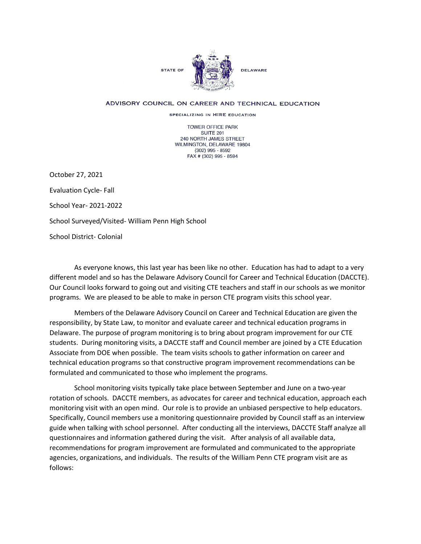

## ADVISORY COUNCIL ON CAREER AND TECHNICAL EDUCATION

SPECIALIZING IN HIRE EDUCATION

TOWER OFFICE PARK SUITE 201 240 NORTH JAMES STREET WILMINGTON, DELAWARE 19804 (302) 995 - 8592 FAX # (302) 995 - 8594

October 27, 2021

Evaluation Cycle- Fall

School Year- 2021-2022

School Surveyed/Visited- William Penn High School

School District- Colonial

As everyone knows, this last year has been like no other. Education has had to adapt to a very different model and so has the Delaware Advisory Council for Career and Technical Education (DACCTE). Our Council looks forward to going out and visiting CTE teachers and staff in our schools as we monitor programs. We are pleased to be able to make in person CTE program visits this school year.

Members of the Delaware Advisory Council on Career and Technical Education are given the responsibility, by State Law, to monitor and evaluate career and technical education programs in Delaware. The purpose of program monitoring is to bring about program improvement for our CTE students. During monitoring visits, a DACCTE staff and Council member are joined by a CTE Education Associate from DOE when possible. The team visits schools to gather information on career and technical education programs so that constructive program improvement recommendations can be formulated and communicated to those who implement the programs.

School monitoring visits typically take place between September and June on a two-year rotation of schools. DACCTE members, as advocates for career and technical education, approach each monitoring visit with an open mind. Our role is to provide an unbiased perspective to help educators. Specifically, Council members use a monitoring questionnaire provided by Council staff as an interview guide when talking with school personnel. After conducting all the interviews, DACCTE Staff analyze all questionnaires and information gathered during the visit. After analysis of all available data, recommendations for program improvement are formulated and communicated to the appropriate agencies, organizations, and individuals. The results of the William Penn CTE program visit are as follows: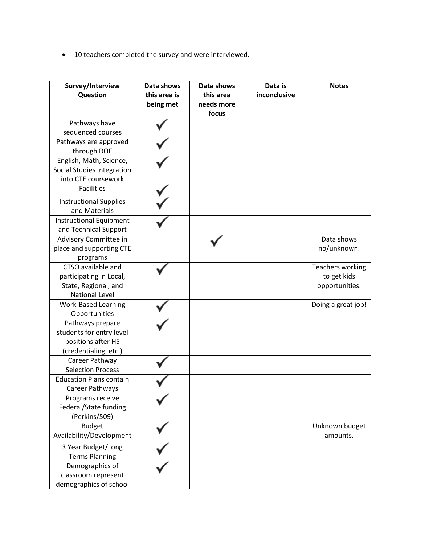• 10 teachers completed the survey and were interviewed.

| Survey/Interview<br>Question   | Data shows<br>this area is<br>being met | Data shows<br>this area<br>needs more<br>focus | Data is<br>inconclusive | <b>Notes</b>       |
|--------------------------------|-----------------------------------------|------------------------------------------------|-------------------------|--------------------|
| Pathways have                  |                                         |                                                |                         |                    |
| sequenced courses              |                                         |                                                |                         |                    |
| Pathways are approved          |                                         |                                                |                         |                    |
| through DOE                    |                                         |                                                |                         |                    |
| English, Math, Science,        |                                         |                                                |                         |                    |
| Social Studies Integration     |                                         |                                                |                         |                    |
| into CTE coursework            |                                         |                                                |                         |                    |
| <b>Facilities</b>              |                                         |                                                |                         |                    |
| <b>Instructional Supplies</b>  |                                         |                                                |                         |                    |
| and Materials                  |                                         |                                                |                         |                    |
| <b>Instructional Equipment</b> |                                         |                                                |                         |                    |
| and Technical Support          |                                         |                                                |                         |                    |
| Advisory Committee in          |                                         |                                                |                         | Data shows         |
| place and supporting CTE       |                                         |                                                |                         | no/unknown.        |
| programs                       |                                         |                                                |                         |                    |
| CTSO available and             |                                         |                                                |                         | Teachers working   |
| participating in Local,        |                                         |                                                |                         | to get kids        |
| State, Regional, and           |                                         |                                                |                         | opportunities.     |
| <b>National Level</b>          |                                         |                                                |                         |                    |
| <b>Work-Based Learning</b>     |                                         |                                                |                         | Doing a great job! |
| Opportunities                  |                                         |                                                |                         |                    |
| Pathways prepare               |                                         |                                                |                         |                    |
| students for entry level       |                                         |                                                |                         |                    |
| positions after HS             |                                         |                                                |                         |                    |
| (credentialing, etc.)          |                                         |                                                |                         |                    |
| Career Pathway                 |                                         |                                                |                         |                    |
| <b>Selection Process</b>       |                                         |                                                |                         |                    |
| <b>Education Plans contain</b> |                                         |                                                |                         |                    |
| Career Pathways                |                                         |                                                |                         |                    |
| Programs receive               |                                         |                                                |                         |                    |
| Federal/State funding          |                                         |                                                |                         |                    |
| (Perkins/509)                  |                                         |                                                |                         |                    |
| <b>Budget</b>                  |                                         |                                                |                         | Unknown budget     |
| Availability/Development       |                                         |                                                |                         | amounts.           |
| 3 Year Budget/Long             |                                         |                                                |                         |                    |
| <b>Terms Planning</b>          |                                         |                                                |                         |                    |
| Demographics of                |                                         |                                                |                         |                    |
| classroom represent            |                                         |                                                |                         |                    |
| demographics of school         |                                         |                                                |                         |                    |